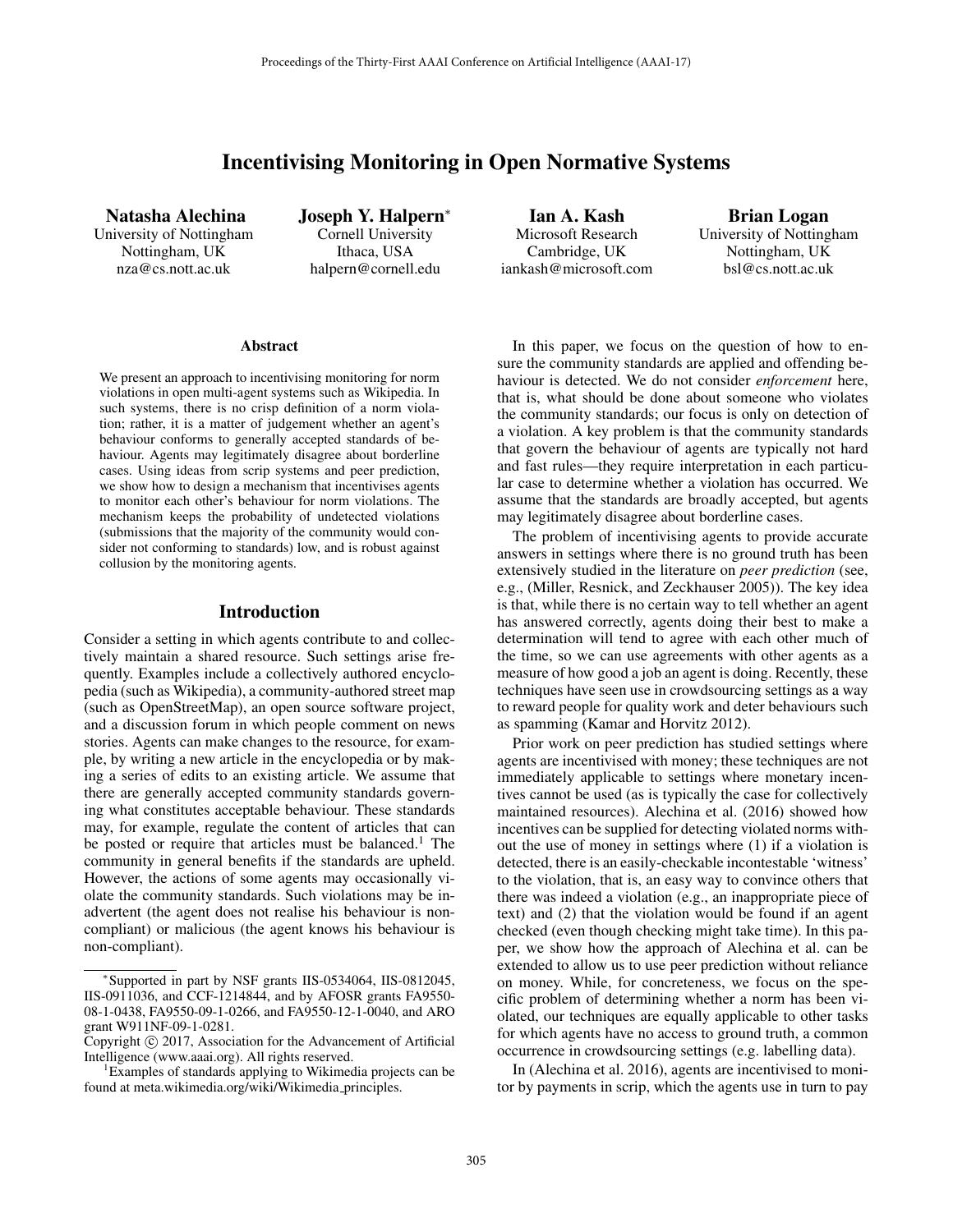# Incentivising Monitoring in Open Normative Systems

Natasha Alechina University of Nottingham Nottingham, UK nza@cs.nott.ac.uk

Joseph Y. Halpern<sup>∗</sup> Cornell University Ithaca, USA halpern@cornell.edu

Ian A. Kash Microsoft Research Cambridge, UK iankash@microsoft.com

Brian Logan University of Nottingham Nottingham, UK bsl@cs.nott.ac.uk

#### Abstract

We present an approach to incentivising monitoring for norm violations in open multi-agent systems such as Wikipedia. In such systems, there is no crisp definition of a norm violation; rather, it is a matter of judgement whether an agent's behaviour conforms to generally accepted standards of behaviour. Agents may legitimately disagree about borderline cases. Using ideas from scrip systems and peer prediction, we show how to design a mechanism that incentivises agents to monitor each other's behaviour for norm violations. The mechanism keeps the probability of undetected violations (submissions that the majority of the community would consider not conforming to standards) low, and is robust against collusion by the monitoring agents.

## Introduction

Consider a setting in which agents contribute to and collectively maintain a shared resource. Such settings arise frequently. Examples include a collectively authored encyclopedia (such as Wikipedia), a community-authored street map (such as OpenStreetMap), an open source software project, and a discussion forum in which people comment on news stories. Agents can make changes to the resource, for example, by writing a new article in the encyclopedia or by making a series of edits to an existing article. We assume that there are generally accepted community standards governing what constitutes acceptable behaviour. These standards may, for example, regulate the content of articles that can be posted or require that articles must be balanced.<sup>1</sup> The community in general benefits if the standards are upheld. However, the actions of some agents may occasionally violate the community standards. Such violations may be inadvertent (the agent does not realise his behaviour is noncompliant) or malicious (the agent knows his behaviour is non-compliant).

In this paper, we focus on the question of how to ensure the community standards are applied and offending behaviour is detected. We do not consider *enforcement* here, that is, what should be done about someone who violates the community standards; our focus is only on detection of a violation. A key problem is that the community standards that govern the behaviour of agents are typically not hard and fast rules—they require interpretation in each particular case to determine whether a violation has occurred. We assume that the standards are broadly accepted, but agents may legitimately disagree about borderline cases.

The problem of incentivising agents to provide accurate answers in settings where there is no ground truth has been extensively studied in the literature on *peer prediction* (see, e.g., (Miller, Resnick, and Zeckhauser 2005)). The key idea is that, while there is no certain way to tell whether an agent has answered correctly, agents doing their best to make a determination will tend to agree with each other much of the time, so we can use agreements with other agents as a measure of how good a job an agent is doing. Recently, these techniques have seen use in crowdsourcing settings as a way to reward people for quality work and deter behaviours such as spamming (Kamar and Horvitz 2012).

Prior work on peer prediction has studied settings where agents are incentivised with money; these techniques are not immediately applicable to settings where monetary incentives cannot be used (as is typically the case for collectively maintained resources). Alechina et al. (2016) showed how incentives can be supplied for detecting violated norms without the use of money in settings where (1) if a violation is detected, there is an easily-checkable incontestable 'witness' to the violation, that is, an easy way to convince others that there was indeed a violation (e.g., an inappropriate piece of text) and (2) that the violation would be found if an agent checked (even though checking might take time). In this paper, we show how the approach of Alechina et al. can be extended to allow us to use peer prediction without reliance on money. While, for concreteness, we focus on the specific problem of determining whether a norm has been violated, our techniques are equally applicable to other tasks for which agents have no access to ground truth, a common occurrence in crowdsourcing settings (e.g. labelling data).

In (Alechina et al. 2016), agents are incentivised to monitor by payments in scrip, which the agents use in turn to pay

<sup>∗</sup>Supported in part by NSF grants IIS-0534064, IIS-0812045, IIS-0911036, and CCF-1214844, and by AFOSR grants FA9550- 08-1-0438, FA9550-09-1-0266, and FA9550-12-1-0040, and ARO grant W911NF-09-1-0281.

Copyright  $\odot$  2017, Association for the Advancement of Artificial Intelligence (www.aaai.org). All rights reserved. <sup>1</sup>

Examples of standards applying to Wikimedia projects can be found at meta.wikimedia.org/wiki/Wikimedia principles.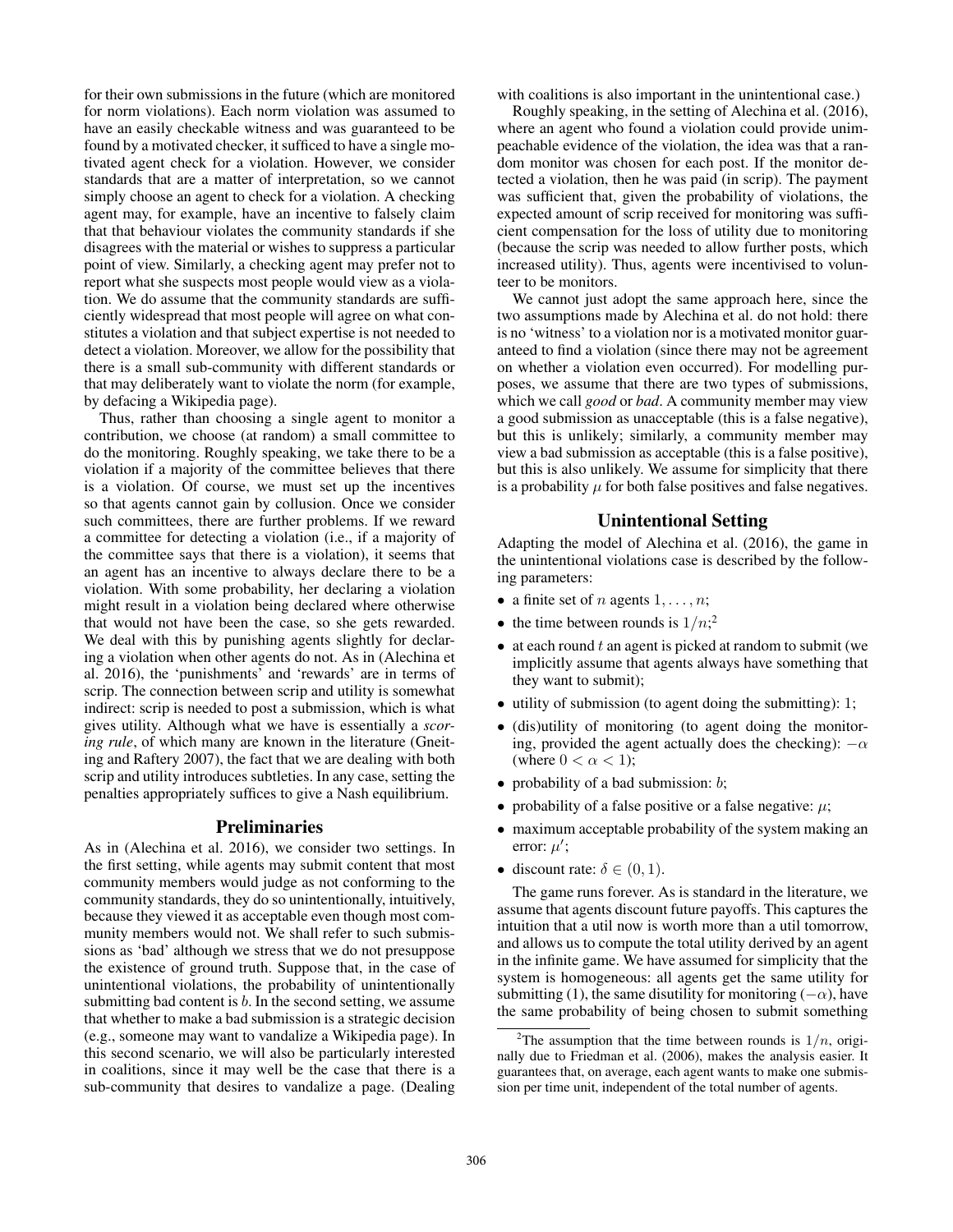for their own submissions in the future (which are monitored for norm violations). Each norm violation was assumed to have an easily checkable witness and was guaranteed to be found by a motivated checker, it sufficed to have a single motivated agent check for a violation. However, we consider standards that are a matter of interpretation, so we cannot simply choose an agent to check for a violation. A checking agent may, for example, have an incentive to falsely claim that that behaviour violates the community standards if she disagrees with the material or wishes to suppress a particular point of view. Similarly, a checking agent may prefer not to report what she suspects most people would view as a violation. We do assume that the community standards are sufficiently widespread that most people will agree on what constitutes a violation and that subject expertise is not needed to detect a violation. Moreover, we allow for the possibility that there is a small sub-community with different standards or that may deliberately want to violate the norm (for example, by defacing a Wikipedia page).

Thus, rather than choosing a single agent to monitor a contribution, we choose (at random) a small committee to do the monitoring. Roughly speaking, we take there to be a violation if a majority of the committee believes that there is a violation. Of course, we must set up the incentives so that agents cannot gain by collusion. Once we consider such committees, there are further problems. If we reward a committee for detecting a violation (i.e., if a majority of the committee says that there is a violation), it seems that an agent has an incentive to always declare there to be a violation. With some probability, her declaring a violation might result in a violation being declared where otherwise that would not have been the case, so she gets rewarded. We deal with this by punishing agents slightly for declaring a violation when other agents do not. As in (Alechina et al. 2016), the 'punishments' and 'rewards' are in terms of scrip. The connection between scrip and utility is somewhat indirect: scrip is needed to post a submission, which is what gives utility. Although what we have is essentially a *scoring rule*, of which many are known in the literature (Gneiting and Raftery 2007), the fact that we are dealing with both scrip and utility introduces subtleties. In any case, setting the penalties appropriately suffices to give a Nash equilibrium.

#### Preliminaries

As in (Alechina et al. 2016), we consider two settings. In the first setting, while agents may submit content that most community members would judge as not conforming to the community standards, they do so unintentionally, intuitively, because they viewed it as acceptable even though most community members would not. We shall refer to such submissions as 'bad' although we stress that we do not presuppose the existence of ground truth. Suppose that, in the case of unintentional violations, the probability of unintentionally submitting bad content is b. In the second setting, we assume that whether to make a bad submission is a strategic decision (e.g., someone may want to vandalize a Wikipedia page). In this second scenario, we will also be particularly interested in coalitions, since it may well be the case that there is a sub-community that desires to vandalize a page. (Dealing with coalitions is also important in the unintentional case.)

Roughly speaking, in the setting of Alechina et al. (2016), where an agent who found a violation could provide unimpeachable evidence of the violation, the idea was that a random monitor was chosen for each post. If the monitor detected a violation, then he was paid (in scrip). The payment was sufficient that, given the probability of violations, the expected amount of scrip received for monitoring was sufficient compensation for the loss of utility due to monitoring (because the scrip was needed to allow further posts, which increased utility). Thus, agents were incentivised to volunteer to be monitors.

We cannot just adopt the same approach here, since the two assumptions made by Alechina et al. do not hold: there is no 'witness' to a violation nor is a motivated monitor guaranteed to find a violation (since there may not be agreement on whether a violation even occurred). For modelling purposes, we assume that there are two types of submissions, which we call *good* or *bad*. A community member may view a good submission as unacceptable (this is a false negative), but this is unlikely; similarly, a community member may view a bad submission as acceptable (this is a false positive), but this is also unlikely. We assume for simplicity that there is a probability  $\mu$  for both false positives and false negatives.

# Unintentional Setting

Adapting the model of Alechina et al. (2016), the game in the unintentional violations case is described by the following parameters:

- a finite set of *n* agents  $1, \ldots, n$ ;
- the time between rounds is  $1/n$ ;<sup>2</sup>
- $\bullet$  at each round t an agent is picked at random to submit (we implicitly assume that agents always have something that they want to submit);
- utility of submission (to agent doing the submitting): 1;
- (dis)utility of monitoring (to agent doing the monitoring, provided the agent actually does the checking):  $-\alpha$ (where  $0 < \alpha < 1$ );
- probability of a bad submission:  $b$ ;
- probability of a false positive or a false negative:  $\mu$ ;
- maximum acceptable probability of the system making an error:  $\mu'$ ;
- discount rate:  $\delta \in (0, 1)$ .

The game runs forever. As is standard in the literature, we assume that agents discount future payoffs. This captures the intuition that a util now is worth more than a util tomorrow, and allows us to compute the total utility derived by an agent in the infinite game. We have assumed for simplicity that the system is homogeneous: all agents get the same utility for submitting (1), the same disutility for monitoring ( $-\alpha$ ), have the same probability of being chosen to submit something

<sup>&</sup>lt;sup>2</sup>The assumption that the time between rounds is  $1/n$ , originally due to Friedman et al. (2006), makes the analysis easier. It guarantees that, on average, each agent wants to make one submission per time unit, independent of the total number of agents.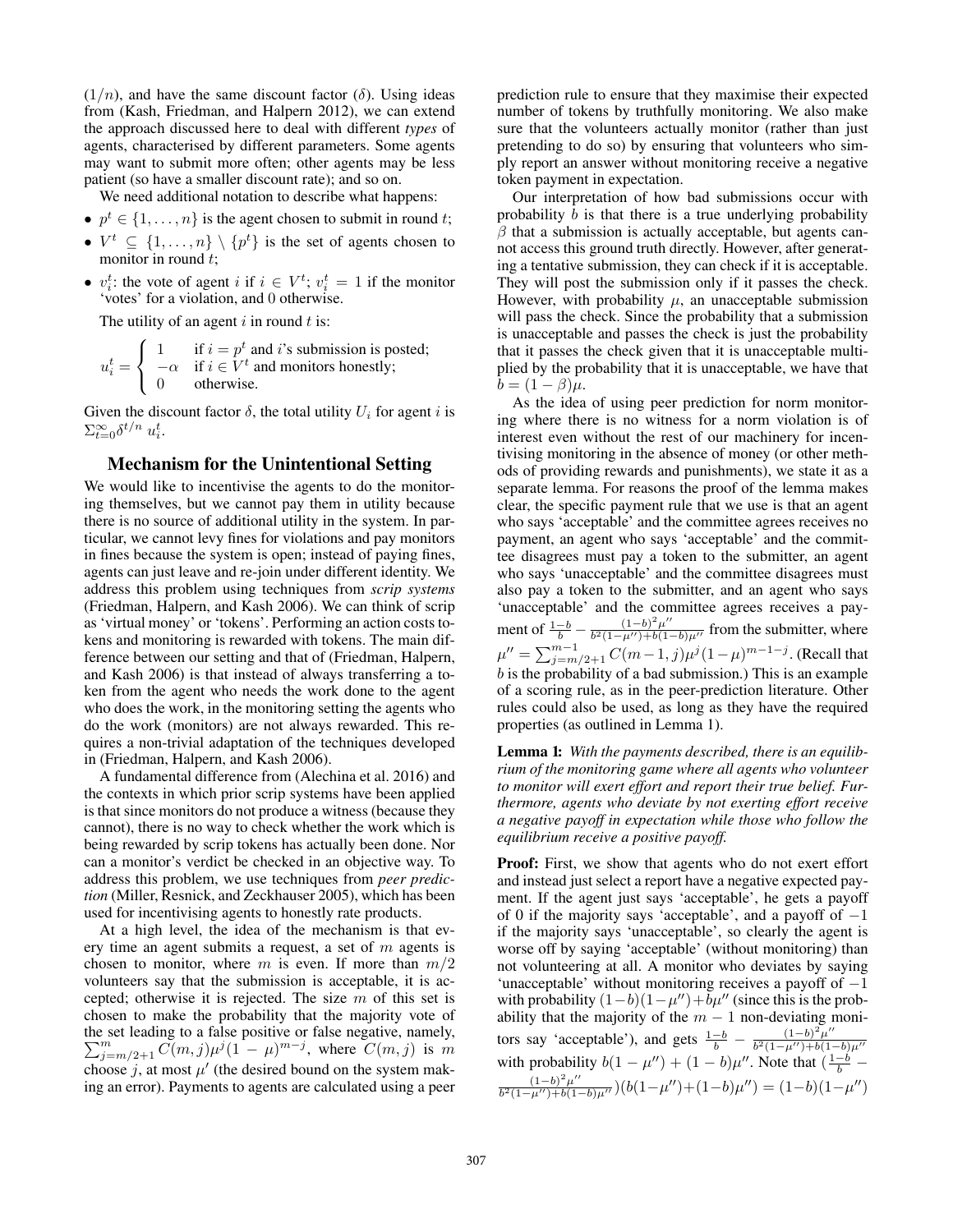$(1/n)$ , and have the same discount factor (δ). Using ideas from (Kash, Friedman, and Halpern 2012), we can extend the approach discussed here to deal with different *types* of agents, characterised by different parameters. Some agents may want to submit more often; other agents may be less patient (so have a smaller discount rate); and so on.

We need additional notation to describe what happens:

- $p^t \in \{1, \ldots, n\}$  is the agent chosen to submit in round t;
- $V^t \subseteq \{1, ..., n\} \setminus \{p^t\}$  is the set of agents chosen to monitor in round t;
- $v_i^t$ : the vote of agent i if  $i \in V^t$ ;  $v_i^t = 1$  if the monitor 'votes' for a violation and 0 otherwise 'votes' for a violation, and 0 otherwise.

The utility of an agent  $i$  in round  $t$  is:

$$
u_i^t = \begin{cases} 1 & \text{if } i = p^t \text{ and } i\text{'s submission is posted;} \\ -\alpha & \text{if } i \in V^t \text{ and monitors honestly;} \\ 0 & \text{otherwise.} \end{cases}
$$

Given the discount factor  $\delta$ , the total utility  $U_i$  for agent i is  $\sum_{t=0}^{\infty} \delta^{t/n} u_i^t$ .

# Mechanism for the Unintentional Setting

We would like to incentivise the agents to do the monitoring themselves, but we cannot pay them in utility because there is no source of additional utility in the system. In particular, we cannot levy fines for violations and pay monitors in fines because the system is open; instead of paying fines, agents can just leave and re-join under different identity. We address this problem using techniques from *scrip systems* (Friedman, Halpern, and Kash 2006). We can think of scrip as 'virtual money' or 'tokens'. Performing an action costs tokens and monitoring is rewarded with tokens. The main difference between our setting and that of (Friedman, Halpern, and Kash 2006) is that instead of always transferring a token from the agent who needs the work done to the agent who does the work, in the monitoring setting the agents who do the work (monitors) are not always rewarded. This requires a non-trivial adaptation of the techniques developed in (Friedman, Halpern, and Kash 2006).

A fundamental difference from (Alechina et al. 2016) and the contexts in which prior scrip systems have been applied is that since monitors do not produce a witness (because they cannot), there is no way to check whether the work which is being rewarded by scrip tokens has actually been done. Nor can a monitor's verdict be checked in an objective way. To address this problem, we use techniques from *peer prediction* (Miller, Resnick, and Zeckhauser 2005), which has been used for incentivising agents to honestly rate products.

At a high level, the idea of the mechanism is that every time an agent submits a request, a set of  $m$  agents is chosen to monitor, where m is even. If more than  $m/2$ volunteers say that the submission is acceptable, it is accepted; otherwise it is rejected. The size  $m$  of this set is chosen to make the probability that the majority vote of the set leading to a false positive or false negative, namely,  $\sum_{j=m/2+1}^{m} \widetilde{C}(m,j) \mu^{j} (1-\mu)^{m-j}$ , where  $\widetilde{C}(m,j)$  is m<br>obogen is at most  $\mu'$  (the decired bound on the system make choose j, at most  $\mu'$  (the desired bound on the system making an error). Payments to agents are calculated using a peer

prediction rule to ensure that they maximise their expected number of tokens by truthfully monitoring. We also make sure that the volunteers actually monitor (rather than just pretending to do so) by ensuring that volunteers who simply report an answer without monitoring receive a negative token payment in expectation.

Our interpretation of how bad submissions occur with probability  $b$  is that there is a true underlying probability  $\beta$  that a submission is actually acceptable, but agents cannot access this ground truth directly. However, after generating a tentative submission, they can check if it is acceptable. They will post the submission only if it passes the check. However, with probability  $\mu$ , an unacceptable submission will pass the check. Since the probability that a submission is unacceptable and passes the check is just the probability that it passes the check given that it is unacceptable multiplied by the probability that it is unacceptable, we have that  $b = (1 - \beta)\mu$ .

As the idea of using peer prediction for norm monitoring where there is no witness for a norm violation is of interest even without the rest of our machinery for incentivising monitoring in the absence of money (or other methods of providing rewards and punishments), we state it as a separate lemma. For reasons the proof of the lemma makes clear, the specific payment rule that we use is that an agent who says 'acceptable' and the committee agrees receives no payment, an agent who says 'acceptable' and the committee disagrees must pay a token to the submitter, an agent who says 'unacceptable' and the committee disagrees must also pay a token to the submitter, and an agent who says 'unacceptable' and the committee agrees receives a payment of  $\frac{1-b}{b} - \frac{(1-b)^2 \mu^{\prime\prime}}{b^2 (1-\mu^{\prime\prime})+b(1-b)\mu^{\prime\prime}}$  from the submitter, where  $\mu'' = \sum_{j=m/2+1}^{m-1} C(m-1, j) \mu^{j} (1-\mu)^{m-1-j}$ . (Recall that <br>h is the probability of a had submission). This is an example  $b$  is the probability of a bad submission.) This is an example of a scoring rule, as in the peer-prediction literature. Other rules could also be used, as long as they have the required properties (as outlined in Lemma 1).

Lemma 1: *With the payments described, there is an equilibrium of the monitoring game where all agents who volunteer to monitor will exert effort and report their true belief. Furthermore, agents who deviate by not exerting effort receive a negative payoff in expectation while those who follow the equilibrium receive a positive payoff.*

Proof: First, we show that agents who do not exert effort and instead just select a report have a negative expected payment. If the agent just says 'acceptable', he gets a payoff of 0 if the majority says 'acceptable', and a payoff of  $-1$ if the majority says 'unacceptable', so clearly the agent is worse off by saying 'acceptable' (without monitoring) than not volunteering at all. A monitor who deviates by saying 'unacceptable' without monitoring receives a payoff of  $-1$ with probability  $(1-b)(1-\mu'') + b\mu''$  (since this is the probability that the majority of the  $m - 1$  non-deviating monitors say 'acceptable'), and gets  $\frac{1-b}{b} - \frac{(1-b)^2 \mu''}{b^2 (1-\mu'') + b(1-b)\mu''}$ <br>with probability  $b(1-\mu'') + (1-b)\mu''$ . Note that  $(\frac{1-b}{b} -$ <br> $\frac{(1-b)^2 \mu''}{b} - \frac{(1-b)^2 \mu''}{b^2 (1-b)}$  $\frac{(1-b)^2\mu''}{b^2(1-\mu'')+b(1-b)\mu''}\big) (b(1-\mu'')+(1-b)\mu'')=(1-b)(1-\mu'')$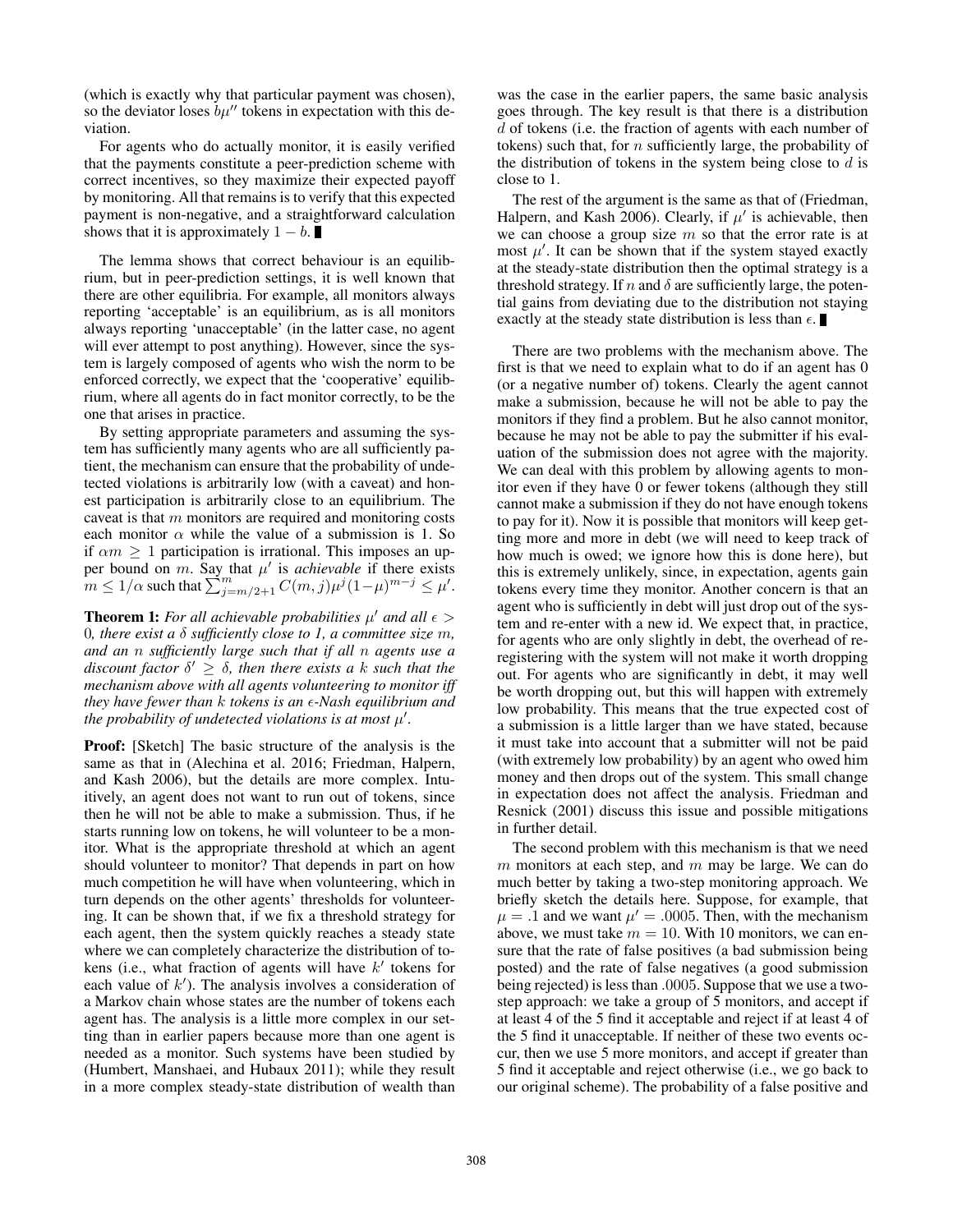(which is exactly why that particular payment was chosen), so the deviator loses  $b\mu''$  tokens in expectation with this deviation.

For agents who do actually monitor, it is easily verified that the payments constitute a peer-prediction scheme with correct incentives, so they maximize their expected payoff by monitoring. All that remains is to verify that this expected payment is non-negative, and a straightforward calculation shows that it is approximately  $1 - b$ .

The lemma shows that correct behaviour is an equilibrium, but in peer-prediction settings, it is well known that there are other equilibria. For example, all monitors always reporting 'acceptable' is an equilibrium, as is all monitors always reporting 'unacceptable' (in the latter case, no agent will ever attempt to post anything). However, since the system is largely composed of agents who wish the norm to be enforced correctly, we expect that the 'cooperative' equilibrium, where all agents do in fact monitor correctly, to be the one that arises in practice.

By setting appropriate parameters and assuming the system has sufficiently many agents who are all sufficiently patient, the mechanism can ensure that the probability of undetected violations is arbitrarily low (with a caveat) and honest participation is arbitrarily close to an equilibrium. The caveat is that  $m$  monitors are required and monitoring costs each monitor  $\alpha$  while the value of a submission is 1. So if  $\alpha m \geq 1$  participation is irrational. This imposes an upper bound on m. Say that  $\mu'$  is *achievable* if there exists  $m \leq 1/\alpha$  such that  $\sum_{j=m/2+1}^{m} C(m, j) \mu^{j} (1-\mu)^{m-j} \leq \mu'.$ 

**Theorem 1:** For all achievable probabilities  $\mu'$  and all  $\epsilon$  > 0*, there exist a* δ *sufficiently close to 1, a committee size* m*, and an* n *sufficiently large such that if all* n *agents use a*  $discount factor \delta' \geq \delta$ , then there exists a k *such that the mechanism above with all agents volunteering to monitor iff they have fewer than* k *tokens is an -Nash equilibrium and the probability of undetected violations is at most*  $\mu'$ .

Proof: [Sketch] The basic structure of the analysis is the same as that in (Alechina et al. 2016; Friedman, Halpern, and Kash 2006), but the details are more complex. Intuitively, an agent does not want to run out of tokens, since then he will not be able to make a submission. Thus, if he starts running low on tokens, he will volunteer to be a monitor. What is the appropriate threshold at which an agent should volunteer to monitor? That depends in part on how much competition he will have when volunteering, which in turn depends on the other agents' thresholds for volunteering. It can be shown that, if we fix a threshold strategy for each agent, then the system quickly reaches a steady state where we can completely characterize the distribution of tokens (i.e., what fraction of agents will have  $k'$  tokens for each value of  $k'$ ). The analysis involves a consideration of a Markov chain whose states are the number of tokens each agent has. The analysis is a little more complex in our setting than in earlier papers because more than one agent is needed as a monitor. Such systems have been studied by (Humbert, Manshaei, and Hubaux 2011); while they result in a more complex steady-state distribution of wealth than

was the case in the earlier papers, the same basic analysis goes through. The key result is that there is a distribution d of tokens (i.e. the fraction of agents with each number of tokens) such that, for  $n$  sufficiently large, the probability of the distribution of tokens in the system being close to  $d$  is close to 1.

The rest of the argument is the same as that of (Friedman, Halpern, and Kash 2006). Clearly, if  $\mu'$  is achievable, then we can choose a group size  $m$  so that the error rate is at most  $\mu'$ . It can be shown that if the system stayed exactly at the steady-state distribution then the optimal strategy is a threshold strategy. If n and  $\delta$  are sufficiently large, the potential gains from deviating due to the distribution not staying exactly at the steady state distribution is less than  $\epsilon$ .

There are two problems with the mechanism above. The first is that we need to explain what to do if an agent has 0 (or a negative number of) tokens. Clearly the agent cannot make a submission, because he will not be able to pay the monitors if they find a problem. But he also cannot monitor, because he may not be able to pay the submitter if his evaluation of the submission does not agree with the majority. We can deal with this problem by allowing agents to monitor even if they have 0 or fewer tokens (although they still cannot make a submission if they do not have enough tokens to pay for it). Now it is possible that monitors will keep getting more and more in debt (we will need to keep track of how much is owed; we ignore how this is done here), but this is extremely unlikely, since, in expectation, agents gain tokens every time they monitor. Another concern is that an agent who is sufficiently in debt will just drop out of the system and re-enter with a new id. We expect that, in practice, for agents who are only slightly in debt, the overhead of reregistering with the system will not make it worth dropping out. For agents who are significantly in debt, it may well be worth dropping out, but this will happen with extremely low probability. This means that the true expected cost of a submission is a little larger than we have stated, because it must take into account that a submitter will not be paid (with extremely low probability) by an agent who owed him money and then drops out of the system. This small change in expectation does not affect the analysis. Friedman and Resnick (2001) discuss this issue and possible mitigations in further detail.

The second problem with this mechanism is that we need  $m$  monitors at each step, and  $m$  may be large. We can do much better by taking a two-step monitoring approach. We briefly sketch the details here. Suppose, for example, that  $\mu = .1$  and we want  $\mu' = .0005$ . Then, with the mechanism above, we must take  $m = 10$ . With 10 monitors, we can ensure that the rate of false positives (a bad submission being posted) and the rate of false negatives (a good submission being rejected) is less than .0005. Suppose that we use a twostep approach: we take a group of 5 monitors, and accept if at least 4 of the 5 find it acceptable and reject if at least 4 of the 5 find it unacceptable. If neither of these two events occur, then we use 5 more monitors, and accept if greater than 5 find it acceptable and reject otherwise (i.e., we go back to our original scheme). The probability of a false positive and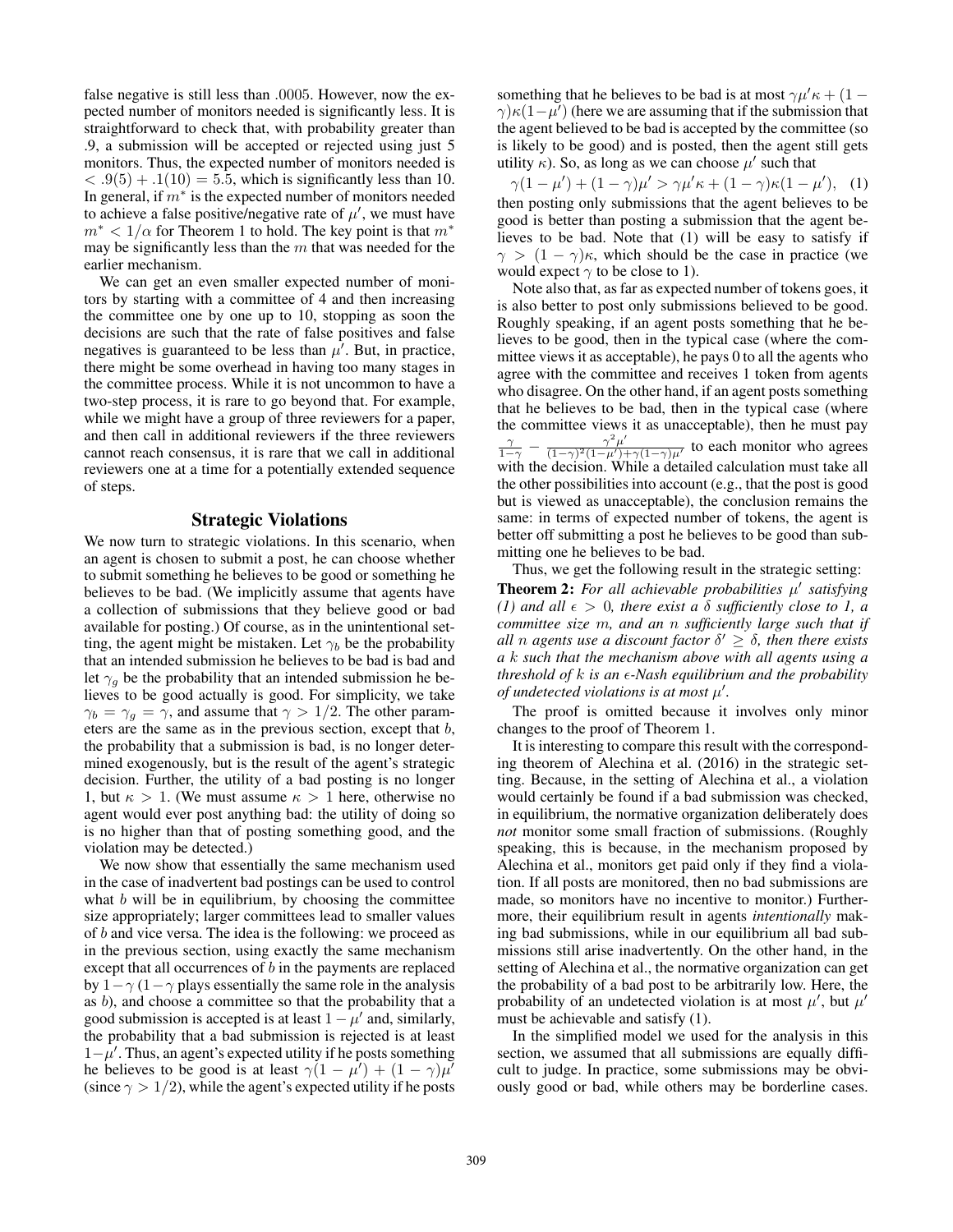false negative is still less than .0005. However, now the expected number of monitors needed is significantly less. It is straightforward to check that, with probability greater than .9, a submission will be accepted or rejected using just 5 monitors. Thus, the expected number of monitors needed is  $(3.9(5) + .1(10) = 5.5$ , which is significantly less than 10. In general, if  $m^*$  is the expected number of monitors needed to achieve a false positive/negative rate of  $\mu'$ , we must have  $m^*$  <  $1/\alpha$  for Theorem 1 to hold. The key point is that  $m^*$ may be significantly less than the  $m$  that was needed for the earlier mechanism.

We can get an even smaller expected number of monitors by starting with a committee of 4 and then increasing the committee one by one up to 10, stopping as soon the decisions are such that the rate of false positives and false negatives is guaranteed to be less than  $\mu'$ . But, in practice, there might be some overhead in having too many stages in the committee process. While it is not uncommon to have a two-step process, it is rare to go beyond that. For example, while we might have a group of three reviewers for a paper, and then call in additional reviewers if the three reviewers cannot reach consensus, it is rare that we call in additional reviewers one at a time for a potentially extended sequence of steps.

### Strategic Violations

We now turn to strategic violations. In this scenario, when an agent is chosen to submit a post, he can choose whether to submit something he believes to be good or something he believes to be bad. (We implicitly assume that agents have a collection of submissions that they believe good or bad available for posting.) Of course, as in the unintentional setting, the agent might be mistaken. Let  $\gamma_b$  be the probability that an intended submission he believes to be bad is bad and let  $\gamma_a$  be the probability that an intended submission he believes to be good actually is good. For simplicity, we take  $\gamma_b = \gamma_g = \gamma$ , and assume that  $\gamma > 1/2$ . The other parameters are the same as in the previous section, except that b eters are the same as in the previous section, except that  $b$ , the probability that a submission is bad, is no longer determined exogenously, but is the result of the agent's strategic decision. Further, the utility of a bad posting is no longer 1, but  $\kappa > 1$ . (We must assume  $\kappa > 1$  here, otherwise no agent would ever post anything bad: the utility of doing so is no higher than that of posting something good, and the violation may be detected.)

We now show that essentially the same mechanism used in the case of inadvertent bad postings can be used to control what  $b$  will be in equilibrium, by choosing the committee size appropriately; larger committees lead to smaller values of b and vice versa. The idea is the following: we proceed as in the previous section, using exactly the same mechanism except that all occurrences of  $b$  in the payments are replaced by  $1-\gamma$  (1 –  $\gamma$  plays essentially the same role in the analysis as b), and choose a committee so that the probability that a good submission is accepted is at least  $1 - \mu'$  and, similarly, the probability that a bad submission is rejected is at least  $1-\mu'$ . Thus, an agent's expected utility if he posts something he believes to be good is at least  $\gamma(1 - \mu') + (1 - \gamma)\mu'$ (since  $\gamma > 1/2$ ), while the agent's expected utility if he posts

something that he believes to be bad is at most  $\gamma \mu' \kappa + (1 \gamma$ ) $\kappa$ (1− $\mu'$ ) (here we are assuming that if the submission that the agent believed to be bad is accepted by the committee (so is likely to be good) and is posted, then the agent still gets utility  $\kappa$ ). So, as long as we can choose  $\mu'$  such that

 $\gamma(1-\mu') + (1-\gamma)\mu' > \gamma\mu'\kappa + (1-\gamma)\kappa(1-\mu'),$  (1) then posting only submissions that the agent believes to be good is better than posting a submission that the agent believes to be bad. Note that (1) will be easy to satisfy if  $\gamma > (1 - \gamma)\kappa$ , which should be the case in practice (we would expect  $\gamma$  to be close to 1).

Note also that, as far as expected number of tokens goes, it is also better to post only submissions believed to be good. Roughly speaking, if an agent posts something that he believes to be good, then in the typical case (where the committee views it as acceptable), he pays 0 to all the agents who agree with the committee and receives 1 token from agents who disagree. On the other hand, if an agent posts something that he believes to be bad, then in the typical case (where the committee views it as unacceptable), then he must pay  $rac{\gamma}{1-\gamma} - \frac{\gamma^2 \mu'}{(1-\gamma)^2(1-\mu')+\gamma(1-\gamma)\mu'}$  to each monitor who agrees<br>with the decision While a detailed calculation must take all with the decision. While a detailed calculation must take all the other possibilities into account (e.g., that the post is good but is viewed as unacceptable), the conclusion remains the same: in terms of expected number of tokens, the agent is better off submitting a post he believes to be good than submitting one he believes to be bad.

Thus, we get the following result in the strategic setting: **Theorem 2:** For all achievable probabilities  $\mu'$  satisfying *(1) and all*  $\epsilon > 0$ *, there exist a*  $\delta$  *sufficiently close to 1, a committee size* m*, and an* n *sufficiently large such that if all n agents use a discount factor*  $\delta' \geq \delta$ *, then there exists a* k *such that the mechanism above with all agents using a threshold of* k *is an -Nash equilibrium and the probability of undetected violations is at most*  $\mu'$ .

The proof is omitted because it involves only minor changes to the proof of Theorem 1.

It is interesting to compare this result with the corresponding theorem of Alechina et al. (2016) in the strategic setting. Because, in the setting of Alechina et al., a violation would certainly be found if a bad submission was checked, in equilibrium, the normative organization deliberately does *not* monitor some small fraction of submissions. (Roughly speaking, this is because, in the mechanism proposed by Alechina et al., monitors get paid only if they find a violation. If all posts are monitored, then no bad submissions are made, so monitors have no incentive to monitor.) Furthermore, their equilibrium result in agents *intentionally* making bad submissions, while in our equilibrium all bad submissions still arise inadvertently. On the other hand, in the setting of Alechina et al., the normative organization can get the probability of a bad post to be arbitrarily low. Here, the probability of an undetected violation is at most  $\mu'$ , but  $\mu'$ must be achievable and satisfy (1).

In the simplified model we used for the analysis in this section, we assumed that all submissions are equally difficult to judge. In practice, some submissions may be obviously good or bad, while others may be borderline cases.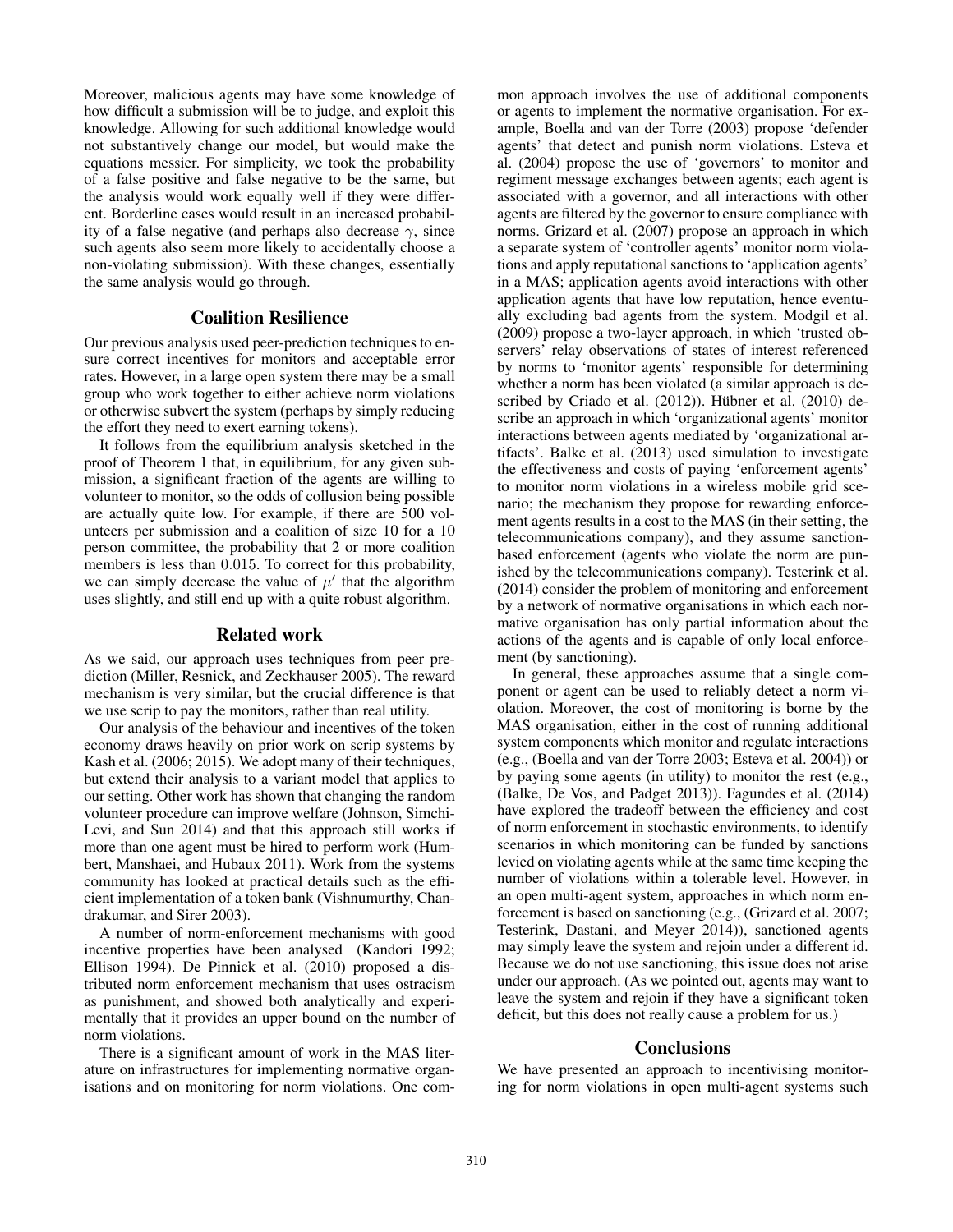Moreover, malicious agents may have some knowledge of how difficult a submission will be to judge, and exploit this knowledge. Allowing for such additional knowledge would not substantively change our model, but would make the equations messier. For simplicity, we took the probability of a false positive and false negative to be the same, but the analysis would work equally well if they were different. Borderline cases would result in an increased probability of a false negative (and perhaps also decrease  $\gamma$ , since such agents also seem more likely to accidentally choose a non-violating submission). With these changes, essentially the same analysis would go through.

# Coalition Resilience

Our previous analysis used peer-prediction techniques to ensure correct incentives for monitors and acceptable error rates. However, in a large open system there may be a small group who work together to either achieve norm violations or otherwise subvert the system (perhaps by simply reducing the effort they need to exert earning tokens).

It follows from the equilibrium analysis sketched in the proof of Theorem 1 that, in equilibrium, for any given submission, a significant fraction of the agents are willing to volunteer to monitor, so the odds of collusion being possible are actually quite low. For example, if there are 500 volunteers per submission and a coalition of size 10 for a 10 person committee, the probability that 2 or more coalition members is less than 0.015. To correct for this probability, we can simply decrease the value of  $\mu'$  that the algorithm uses slightly, and still end up with a quite robust algorithm.

#### Related work

As we said, our approach uses techniques from peer prediction (Miller, Resnick, and Zeckhauser 2005). The reward mechanism is very similar, but the crucial difference is that we use scrip to pay the monitors, rather than real utility.

Our analysis of the behaviour and incentives of the token economy draws heavily on prior work on scrip systems by Kash et al. (2006; 2015). We adopt many of their techniques, but extend their analysis to a variant model that applies to our setting. Other work has shown that changing the random volunteer procedure can improve welfare (Johnson, Simchi-Levi, and Sun 2014) and that this approach still works if more than one agent must be hired to perform work (Humbert, Manshaei, and Hubaux 2011). Work from the systems community has looked at practical details such as the efficient implementation of a token bank (Vishnumurthy, Chandrakumar, and Sirer 2003).

A number of norm-enforcement mechanisms with good incentive properties have been analysed (Kandori 1992; Ellison 1994). De Pinnick et al. (2010) proposed a distributed norm enforcement mechanism that uses ostracism as punishment, and showed both analytically and experimentally that it provides an upper bound on the number of norm violations.

There is a significant amount of work in the MAS literature on infrastructures for implementing normative organisations and on monitoring for norm violations. One common approach involves the use of additional components or agents to implement the normative organisation. For example, Boella and van der Torre (2003) propose 'defender agents' that detect and punish norm violations. Esteva et al. (2004) propose the use of 'governors' to monitor and regiment message exchanges between agents; each agent is associated with a governor, and all interactions with other agents are filtered by the governor to ensure compliance with norms. Grizard et al. (2007) propose an approach in which a separate system of 'controller agents' monitor norm violations and apply reputational sanctions to 'application agents' in a MAS; application agents avoid interactions with other application agents that have low reputation, hence eventually excluding bad agents from the system. Modgil et al. (2009) propose a two-layer approach, in which 'trusted observers' relay observations of states of interest referenced by norms to 'monitor agents' responsible for determining whether a norm has been violated (a similar approach is described by Criado et al. (2012)). Hübner et al. (2010) describe an approach in which 'organizational agents' monitor interactions between agents mediated by 'organizational artifacts'. Balke et al. (2013) used simulation to investigate the effectiveness and costs of paying 'enforcement agents' to monitor norm violations in a wireless mobile grid scenario; the mechanism they propose for rewarding enforcement agents results in a cost to the MAS (in their setting, the telecommunications company), and they assume sanctionbased enforcement (agents who violate the norm are punished by the telecommunications company). Testerink et al. (2014) consider the problem of monitoring and enforcement by a network of normative organisations in which each normative organisation has only partial information about the actions of the agents and is capable of only local enforcement (by sanctioning).

In general, these approaches assume that a single component or agent can be used to reliably detect a norm violation. Moreover, the cost of monitoring is borne by the MAS organisation, either in the cost of running additional system components which monitor and regulate interactions (e.g., (Boella and van der Torre 2003; Esteva et al. 2004)) or by paying some agents (in utility) to monitor the rest (e.g., (Balke, De Vos, and Padget 2013)). Fagundes et al. (2014) have explored the tradeoff between the efficiency and cost of norm enforcement in stochastic environments, to identify scenarios in which monitoring can be funded by sanctions levied on violating agents while at the same time keeping the number of violations within a tolerable level. However, in an open multi-agent system, approaches in which norm enforcement is based on sanctioning (e.g., (Grizard et al. 2007; Testerink, Dastani, and Meyer 2014)), sanctioned agents may simply leave the system and rejoin under a different id. Because we do not use sanctioning, this issue does not arise under our approach. (As we pointed out, agents may want to leave the system and rejoin if they have a significant token deficit, but this does not really cause a problem for us.)

#### **Conclusions**

We have presented an approach to incentivising monitoring for norm violations in open multi-agent systems such